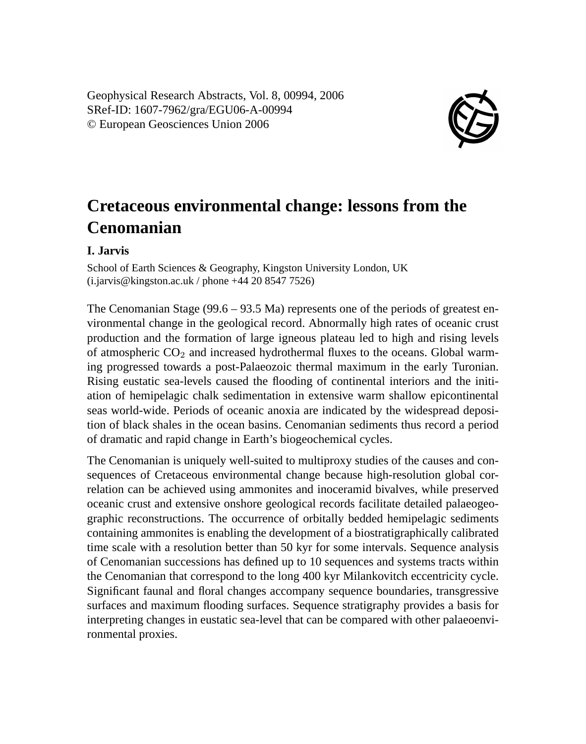Geophysical Research Abstracts, Vol. 8, 00994, 2006 SRef-ID: 1607-7962/gra/EGU06-A-00994 © European Geosciences Union 2006



## **Cretaceous environmental change: lessons from the Cenomanian**

## **I. Jarvis**

School of Earth Sciences & Geography, Kingston University London, UK (i.jarvis@kingston.ac.uk / phone +44 20 8547 7526)

The Cenomanian Stage (99.6 – 93.5 Ma) represents one of the periods of greatest environmental change in the geological record. Abnormally high rates of oceanic crust production and the formation of large igneous plateau led to high and rising levels of atmospheric  $CO<sub>2</sub>$  and increased hydrothermal fluxes to the oceans. Global warming progressed towards a post-Palaeozoic thermal maximum in the early Turonian. Rising eustatic sea-levels caused the flooding of continental interiors and the initiation of hemipelagic chalk sedimentation in extensive warm shallow epicontinental seas world-wide. Periods of oceanic anoxia are indicated by the widespread deposition of black shales in the ocean basins. Cenomanian sediments thus record a period of dramatic and rapid change in Earth's biogeochemical cycles.

The Cenomanian is uniquely well-suited to multiproxy studies of the causes and consequences of Cretaceous environmental change because high-resolution global correlation can be achieved using ammonites and inoceramid bivalves, while preserved oceanic crust and extensive onshore geological records facilitate detailed palaeogeographic reconstructions. The occurrence of orbitally bedded hemipelagic sediments containing ammonites is enabling the development of a biostratigraphically calibrated time scale with a resolution better than 50 kyr for some intervals. Sequence analysis of Cenomanian successions has defined up to 10 sequences and systems tracts within the Cenomanian that correspond to the long 400 kyr Milankovitch eccentricity cycle. Significant faunal and floral changes accompany sequence boundaries, transgressive surfaces and maximum flooding surfaces. Sequence stratigraphy provides a basis for interpreting changes in eustatic sea-level that can be compared with other palaeoenvironmental proxies.